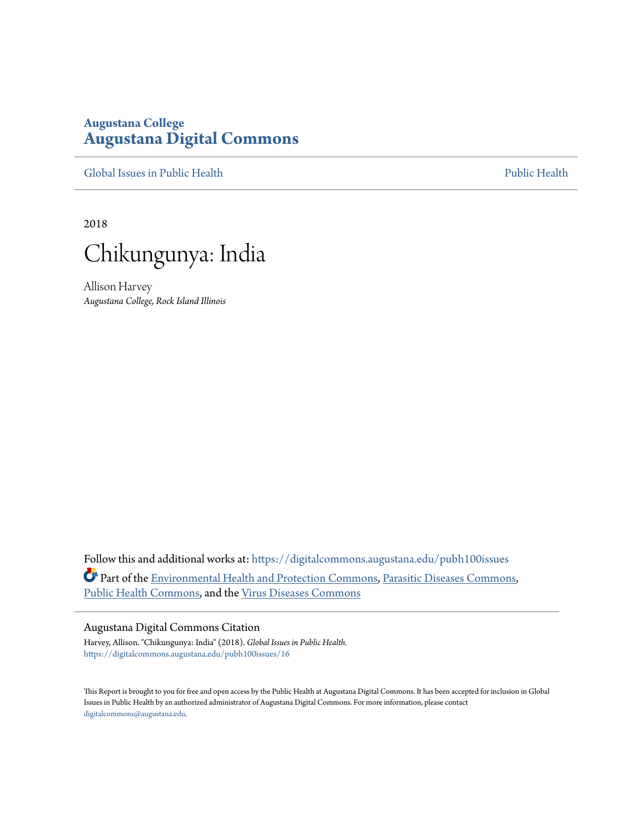# **Augustana College [Augustana Digital Commons](https://digitalcommons.augustana.edu?utm_source=digitalcommons.augustana.edu%2Fpubh100issues%2F16&utm_medium=PDF&utm_campaign=PDFCoverPages)**

[Global Issues in Public Health](https://digitalcommons.augustana.edu/pubh100issues?utm_source=digitalcommons.augustana.edu%2Fpubh100issues%2F16&utm_medium=PDF&utm_campaign=PDFCoverPages) [Public Health](https://digitalcommons.augustana.edu/publichealth?utm_source=digitalcommons.augustana.edu%2Fpubh100issues%2F16&utm_medium=PDF&utm_campaign=PDFCoverPages) Public Health Public Health Public Health

2018



Allison Harvey *Augustana College, Rock Island Illinois*

Follow this and additional works at: [https://digitalcommons.augustana.edu/pubh100issues](https://digitalcommons.augustana.edu/pubh100issues?utm_source=digitalcommons.augustana.edu%2Fpubh100issues%2F16&utm_medium=PDF&utm_campaign=PDFCoverPages) Part of the [Environmental Health and Protection Commons,](http://network.bepress.com/hgg/discipline/172?utm_source=digitalcommons.augustana.edu%2Fpubh100issues%2F16&utm_medium=PDF&utm_campaign=PDFCoverPages) [Parasitic Diseases Commons,](http://network.bepress.com/hgg/discipline/983?utm_source=digitalcommons.augustana.edu%2Fpubh100issues%2F16&utm_medium=PDF&utm_campaign=PDFCoverPages) [Public Health Commons,](http://network.bepress.com/hgg/discipline/738?utm_source=digitalcommons.augustana.edu%2Fpubh100issues%2F16&utm_medium=PDF&utm_campaign=PDFCoverPages) and the [Virus Diseases Commons](http://network.bepress.com/hgg/discipline/998?utm_source=digitalcommons.augustana.edu%2Fpubh100issues%2F16&utm_medium=PDF&utm_campaign=PDFCoverPages)

#### Augustana Digital Commons Citation

Harvey, Allison. "Chikungunya: India" (2018). *Global Issues in Public Health.* [https://digitalcommons.augustana.edu/pubh100issues/16](https://digitalcommons.augustana.edu/pubh100issues/16?utm_source=digitalcommons.augustana.edu%2Fpubh100issues%2F16&utm_medium=PDF&utm_campaign=PDFCoverPages)

This Report is brought to you for free and open access by the Public Health at Augustana Digital Commons. It has been accepted for inclusion in Global Issues in Public Health by an authorized administrator of Augustana Digital Commons. For more information, please contact [digitalcommons@augustana.edu.](mailto:digitalcommons@augustana.edu)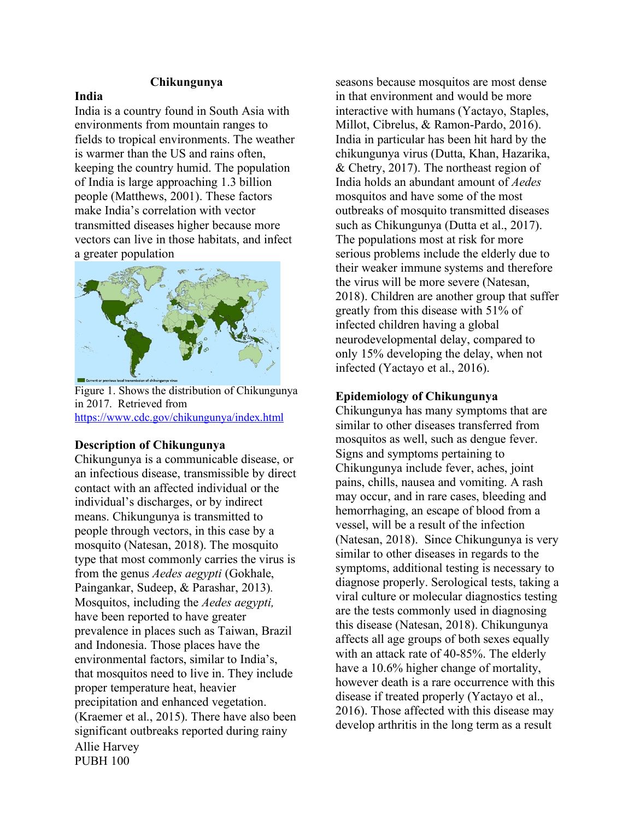## **Chikungunya**

## **India**

India is a country found in South Asia with environments from mountain ranges to fields to tropical environments. The weather is warmer than the US and rains often, keeping the country humid. The population of India is large approaching 1.3 billion people (Matthews, 2001). These factors make India's correlation with vector transmitted diseases higher because more vectors can live in those habitats, and infect a greater population



Figure 1. Shows the distribution of Chikungunya in 2017. Retrieved from https://www.cdc.gov/chikungunya/index.html

### **Description of Chikungunya**

Allie Harvey PUBH 100 Chikungunya is a communicable disease, or an infectious disease, transmissible by direct contact with an affected individual or the individual's discharges, or by indirect means. Chikungunya is transmitted to people through vectors, in this case by a mosquito (Natesan, 2018). The mosquito type that most commonly carries the virus is from the genus *Aedes aegypti* (Gokhale, Paingankar, Sudeep, & Parashar, 2013)*.* Mosquitos, including the *Aedes aegypti,* have been reported to have greater prevalence in places such as Taiwan, Brazil and Indonesia. Those places have the environmental factors, similar to India's, that mosquitos need to live in. They include proper temperature heat, heavier precipitation and enhanced vegetation. (Kraemer et al., 2015). There have also been significant outbreaks reported during rainy

seasons because mosquitos are most dense in that environment and would be more interactive with humans (Yactayo, Staples, Millot, Cibrelus, & Ramon-Pardo, 2016). India in particular has been hit hard by the chikungunya virus (Dutta, Khan, Hazarika, & Chetry, 2017). The northeast region of India holds an abundant amount of *Aedes*  mosquitos and have some of the most outbreaks of mosquito transmitted diseases such as Chikungunya (Dutta et al., 2017). The populations most at risk for more serious problems include the elderly due to their weaker immune systems and therefore the virus will be more severe (Natesan, 2018). Children are another group that suffer greatly from this disease with 51% of infected children having a global neurodevelopmental delay, compared to only 15% developing the delay, when not infected (Yactayo et al., 2016).

## **Epidemiology of Chikungunya**

Chikungunya has many symptoms that are similar to other diseases transferred from mosquitos as well, such as dengue fever. Signs and symptoms pertaining to Chikungunya include fever, aches, joint pains, chills, nausea and vomiting. A rash may occur, and in rare cases, bleeding and hemorrhaging, an escape of blood from a vessel, will be a result of the infection (Natesan, 2018). Since Chikungunya is very similar to other diseases in regards to the symptoms, additional testing is necessary to diagnose properly. Serological tests, taking a viral culture or molecular diagnostics testing are the tests commonly used in diagnosing this disease (Natesan, 2018). Chikungunya affects all age groups of both sexes equally with an attack rate of 40-85%. The elderly have a 10.6% higher change of mortality, however death is a rare occurrence with this disease if treated properly (Yactayo et al., 2016). Those affected with this disease may develop arthritis in the long term as a result